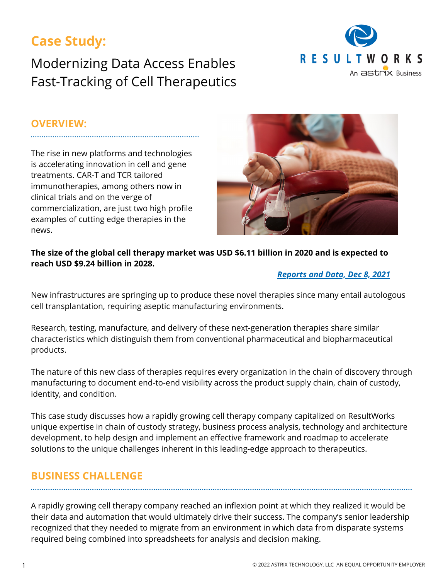# **Case Study:**

Modernizing Data Access Enables Fast-Tracking of Cell Therapeutics



#### **OVERVIEW:**

The rise in new platforms and technologies is accelerating innovation in cell and gene treatments. CAR-T and TCR tailored immunotherapies, among others now in clinical trials and on the verge of commercialization, are just two high profile examples of cutting edge therapies in the news.



#### **The size of the global cell therapy market was USD \$6.11 billion in 2020 and is expected to reach USD \$9.24 billion in 2028.**

#### *[Reports](https://www.biospace.com/article/cell-therapy-market-revenue-driven-by-advancements-in-cell-therapy-and-rising-demand-for-regenerative-medicine-reports-and-data-/) and Data, Dec 8, 2021*

New infrastructures are springing up to produce these novel therapies since many entail autologous cell transplantation, requiring aseptic manufacturing environments.

Research, testing, manufacture, and delivery of these next-generation therapies share similar characteristics which distinguish them from conventional pharmaceutical and biopharmaceutical products.

The nature of this new class of therapies requires every organization in the chain of discovery through manufacturing to document end-to-end visibility across the product supply chain, chain of custody, identity, and condition.

This case study discusses how a rapidly growing cell therapy company capitalized on ResultWorks unique expertise in chain of custody strategy, business process analysis, technology and architecture development, to help design and implement an effective framework and roadmap to accelerate solutions to the unique challenges inherent in this leading-edge approach to therapeutics.

### **BUSINESS CHALLENGE**

A rapidly growing cell therapy company reached an inflexion point at which they realized it would be their data and automation that would ultimately drive their success. The company's senior leadership recognized that they needed to migrate from an environment in which data from disparate systems required being combined into spreadsheets for analysis and decision making.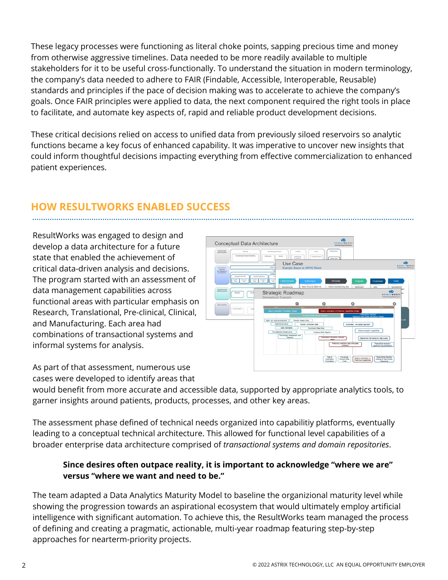These legacy processes were functioning as literal choke points, sapping precious time and money from otherwise aggressive timelines. Data needed to be more readily available to multiple stakeholders for it to be useful cross-functionally. To understand the situation in modern terminology, the company's data needed to adhere to FAIR (Findable, Accessible, Interoperable, Reusable) standards and principles if the pace of decision making was to accelerate to achieve the company's goals. Once FAIR principles were applied to data, the next component required the right tools in place to facilitate, and automate key aspects of, rapid and reliable product development decisions.

These critical decisions relied on access to unified data from previously siloed reservoirs so analytic functions became a key focus of enhanced capability. It was imperative to uncover new insights that could inform thoughtful decisions impacting everything from effective commercialization to enhanced patient experiences.

# **HOW RESULTWORKS ENABLED SUCCESS**

ResultWorks was engaged to design and develop a data architecture for a future state that enabled the achievement of critical data-driven analysis and decisions. The program started with an assessment of data management capabilities across functional areas with particular emphasis on Research, Translational, Pre-clinical, Clinical, and Manufacturing. Each area had combinations of transactional systems and informal systems for analysis.

Conceptual Data Architecture Use Case  $\mathbf{e}$ Strategic Roadmap Data & Punctional Education & Prescriptive Contains & Prescriptive Contain Data

As part of that assessment, numerous use cases were developed to identify areas that

would benefit from more accurate and accessible data, supported by appropriate analytics tools, to garner insights around patients, products, processes, and other key areas.

The assessment phase defined of technical needs organized into capabilitiy platforms, eventually leading to a conceptual technical architecture. This allowed for functional level capabilities of a broader enterprise data architecture comprised of *transactional systems and domain repositories*.

#### **Since desires often outpace reality, it is important to acknowledge "where we are" versus "where we want and need to be."**

The team adapted a Data Analytics Maturity Model to baseline the organizional maturity level while showing the progression towards an aspirational ecosystem that would ultimately employ artificial intelligence with significant automation. To achieve this, the ResultWorks team managed the process of defining and creating a pragmatic, actionable, multi-year roadmap featuring step-by-step approaches for nearterm-priority projects.